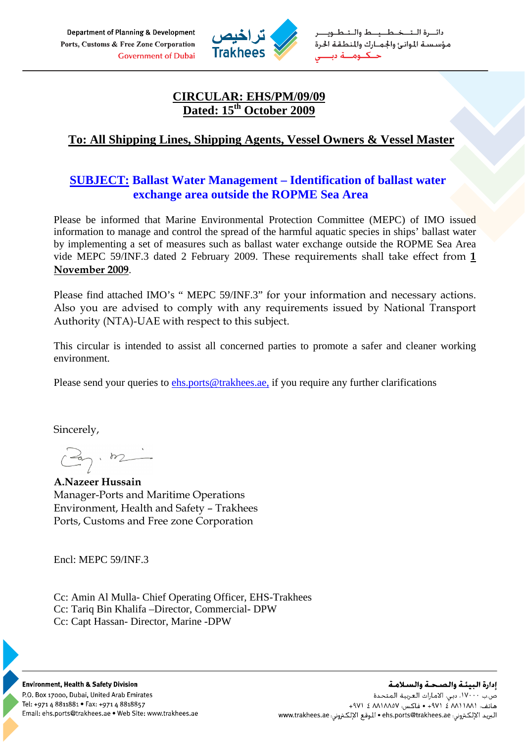Department of Planning & Development Ports, Customs & Free Zone Corporation **Government of Dubai** 



دائـــرة الــتـــخــطــــيـــط والــتــطــويــ مؤسستة الموانئ والجمارك والمنطقة الحرة حــكــومـــة دى

# **CIRCULAR: EHS/PM/09/09 Dated: 15th October 2009**

# **To: All Shipping Lines, Shipping Agents, Vessel Owners & Vessel Master**

# **SUBJECT: Ballast Water Management – Identification of ballast water exchange area outside the ROPME Sea Area**

Please be informed that Marine Environmental Protection Committee (MEPC) of IMO issued information to manage and control the spread of the harmful aquatic species in ships' ballast water by implementing a set of measures such as ballast water exchange outside the ROPME Sea Area vide MEPC 59/INF.3 dated 2 February 2009. These requirements shall take effect from **1 November 2009**.

Please find attached IMO's " MEPC 59/INF.3" for your information and necessary actions. Also you are advised to comply with any requirements issued by National Transport Authority (NTA)-UAE with respect to this subject.

This circular is intended to assist all concerned parties to promote a safer and cleaner working environment.

Please send your queries to [ehs.ports@trakhees.ae](mailto:ehs.ports@trakhees.ae), if you require any further clarifications

Sincerely,

 $\mathbb{Z}_{7}$ ,  $\mathbb{Z}$ 

**A.Nazeer Hussain**  Manager-Ports and Maritime Operations Environment, Health and Safety – Trakhees Ports, Customs and Free zone Corporation

Encl: MEPC 59/INF.3

Cc: Amin Al Mulla- Chief Operating Officer, EHS-Trakhees Cc: Tariq Bin Khalifa –Director, Commercial- DPW Cc: Capt Hassan- Director, Marine -DPW



**Environment, Health & Safety Division** P.O. Box 17000, Dubai, United Arab Emirates Tel: +971 4 8811881 • Fax: +971 4 8818857 Email: ehs.ports@trakhees.ae . Web Site: www.trakhees.ae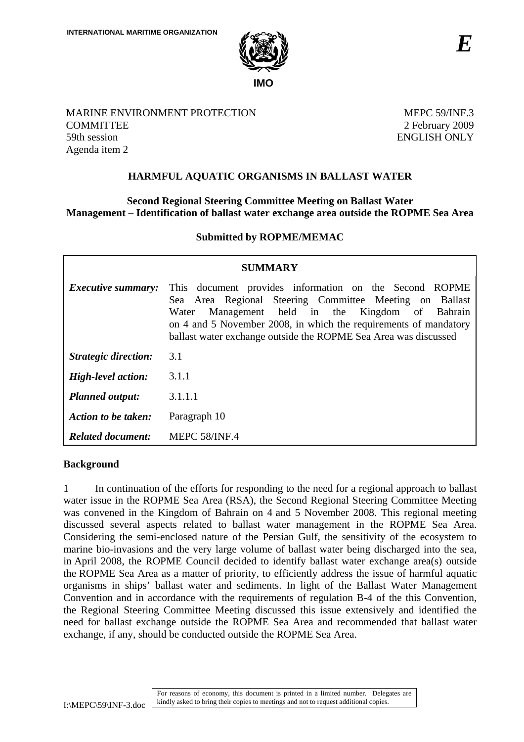

MARINE ENVIRONMENT PROTECTION **COMMITTEE** 59th session Agenda item 2

MEPC 59/INF.3 2 February 2009 ENGLISH ONLY

# **HARMFUL AQUATIC ORGANISMS IN BALLAST WATER**

## **Second Regional Steering Committee Meeting on Ballast Water Management – Identification of ballast water exchange area outside the ROPME Sea Area**

## **Submitted by ROPME/MEMAC**

| SUMMARY                     |                                                                                                                                                                                                                                                                                                                |
|-----------------------------|----------------------------------------------------------------------------------------------------------------------------------------------------------------------------------------------------------------------------------------------------------------------------------------------------------------|
| <i>Executive summary:</i>   | This document provides information on the Second ROPME<br>Sea Area Regional Steering Committee Meeting on Ballast<br>Management held in the Kingdom of Bahrain<br>Water<br>on 4 and 5 November 2008, in which the requirements of mandatory<br>ballast water exchange outside the ROPME Sea Area was discussed |
| <b>Strategic direction:</b> | 3.1                                                                                                                                                                                                                                                                                                            |
| <b>High-level action:</b>   | 3.1.1                                                                                                                                                                                                                                                                                                          |
| <b>Planned output:</b>      | 3.1.1.1                                                                                                                                                                                                                                                                                                        |
| Action to be taken:         | Paragraph 10                                                                                                                                                                                                                                                                                                   |
| <b>Related document:</b>    | MEPC 58/INF.4                                                                                                                                                                                                                                                                                                  |

#### **Background**

1 In continuation of the efforts for responding to the need for a regional approach to ballast water issue in the ROPME Sea Area (RSA), the Second Regional Steering Committee Meeting was convened in the Kingdom of Bahrain on 4 and 5 November 2008. This regional meeting discussed several aspects related to ballast water management in the ROPME Sea Area. Considering the semi-enclosed nature of the Persian Gulf, the sensitivity of the ecosystem to marine bio-invasions and the very large volume of ballast water being discharged into the sea, in April 2008, the ROPME Council decided to identify ballast water exchange area(s) outside the ROPME Sea Area as a matter of priority, to efficiently address the issue of harmful aquatic organisms in ships' ballast water and sediments. In light of the Ballast Water Management Convention and in accordance with the requirements of regulation B-4 of the this Convention, the Regional Steering Committee Meeting discussed this issue extensively and identified the need for ballast exchange outside the ROPME Sea Area and recommended that ballast water exchange, if any, should be conducted outside the ROPME Sea Area.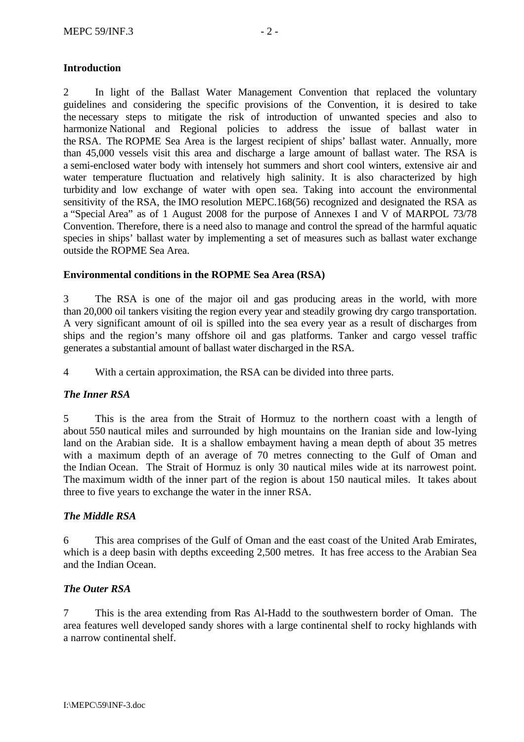### **Introduction**

2 In light of the Ballast Water Management Convention that replaced the voluntary guidelines and considering the specific provisions of the Convention, it is desired to take the necessary steps to mitigate the risk of introduction of unwanted species and also to harmonize National and Regional policies to address the issue of ballast water in the RSA. The ROPME Sea Area is the largest recipient of ships' ballast water. Annually, more than 45,000 vessels visit this area and discharge a large amount of ballast water. The RSA is a semi-enclosed water body with intensely hot summers and short cool winters, extensive air and water temperature fluctuation and relatively high salinity. It is also characterized by high turbidity and low exchange of water with open sea. Taking into account the environmental sensitivity of the RSA, the IMO resolution MEPC.168(56) recognized and designated the RSA as a "Special Area" as of 1 August 2008 for the purpose of Annexes I and V of MARPOL 73/78 Convention. Therefore, there is a need also to manage and control the spread of the harmful aquatic species in ships' ballast water by implementing a set of measures such as ballast water exchange outside the ROPME Sea Area.

### **Environmental conditions in the ROPME Sea Area (RSA)**

3 The RSA is one of the major oil and gas producing areas in the world, with more than 20,000 oil tankers visiting the region every year and steadily growing dry cargo transportation. A very significant amount of oil is spilled into the sea every year as a result of discharges from ships and the region's many offshore oil and gas platforms. Tanker and cargo vessel traffic generates a substantial amount of ballast water discharged in the RSA.

4 With a certain approximation, the RSA can be divided into three parts.

## *The Inner RSA*

5 This is the area from the Strait of Hormuz to the northern coast with a length of about 550 nautical miles and surrounded by high mountains on the Iranian side and low-lying land on the Arabian side. It is a shallow embayment having a mean depth of about 35 metres with a maximum depth of an average of 70 metres connecting to the Gulf of Oman and the Indian Ocean. The Strait of Hormuz is only 30 nautical miles wide at its narrowest point. The maximum width of the inner part of the region is about 150 nautical miles. It takes about three to five years to exchange the water in the inner RSA.

#### *The Middle RSA*

6 This area comprises of the Gulf of Oman and the east coast of the United Arab Emirates, which is a deep basin with depths exceeding 2,500 metres. It has free access to the Arabian Sea and the Indian Ocean.

#### *The Outer RSA*

7 This is the area extending from Ras Al-Hadd to the southwestern border of Oman. The area features well developed sandy shores with a large continental shelf to rocky highlands with a narrow continental shelf.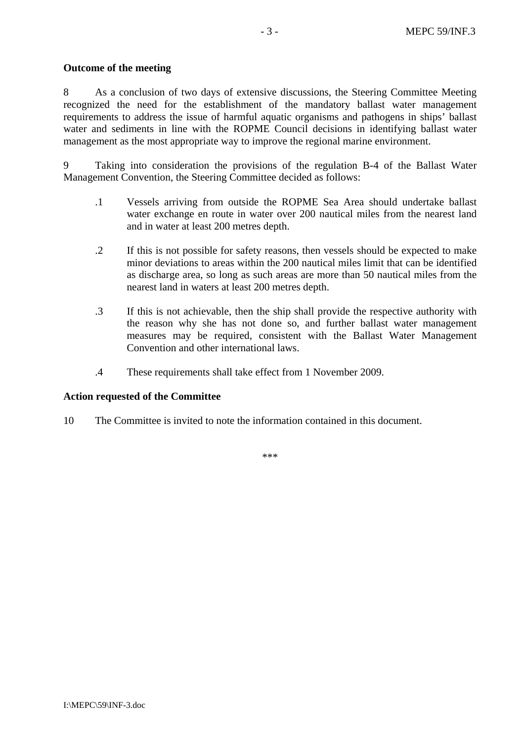#### **Outcome of the meeting**

8 As a conclusion of two days of extensive discussions, the Steering Committee Meeting recognized the need for the establishment of the mandatory ballast water management requirements to address the issue of harmful aquatic organisms and pathogens in ships' ballast water and sediments in line with the ROPME Council decisions in identifying ballast water management as the most appropriate way to improve the regional marine environment.

9 Taking into consideration the provisions of the regulation B-4 of the Ballast Water Management Convention, the Steering Committee decided as follows:

- .1 Vessels arriving from outside the ROPME Sea Area should undertake ballast water exchange en route in water over 200 nautical miles from the nearest land and in water at least 200 metres depth.
- .2 If this is not possible for safety reasons, then vessels should be expected to make minor deviations to areas within the 200 nautical miles limit that can be identified as discharge area, so long as such areas are more than 50 nautical miles from the nearest land in waters at least 200 metres depth.
- .3 If this is not achievable, then the ship shall provide the respective authority with the reason why she has not done so, and further ballast water management measures may be required, consistent with the Ballast Water Management Convention and other international laws.
- .4 These requirements shall take effect from 1 November 2009.

#### **Action requested of the Committee**

10 The Committee is invited to note the information contained in this document.

\*\*\*